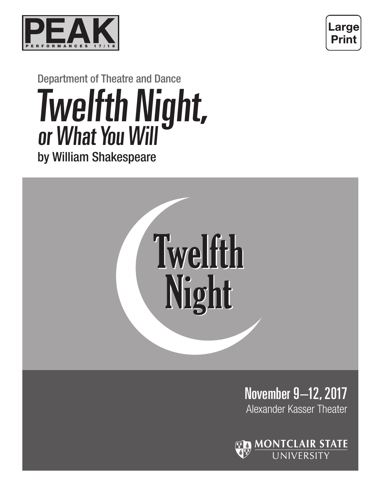



#### Department of Theatre and Dance Twelfth Night, or What You Will by William Shakespeare Twelfth Night, or What You Will



November 9–12, 2017 Alexander Kasser Theater

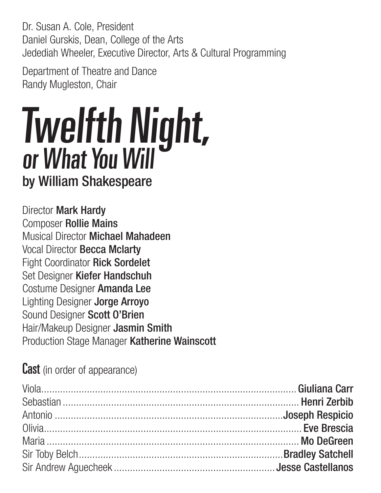Dr. Susan A. Cole, President Daniel Gurskis, Dean, College of the Arts Jedediah Wheeler, Executive Director, Arts & Cultural Programming

Department of Theatre and Dance Randy Mugleston, Chair

# by William Shakespeare Twelfth Night, or What You Will

Director Mark Hardy Composer Rollie Mains Musical Director Michael Mahadeen Vocal Director Becca Mclarty Fight Coordinator Rick Sordelet Set Designer Kiefer Handschuh Costume Designer Amanda Lee Lighting Designer Jorge Arroyo Sound Designer Scott O'Brien Hair/Makeup Designer Jasmin Smith Production Stage Manager Katherine Wainscott

**Cast** (in order of appearance)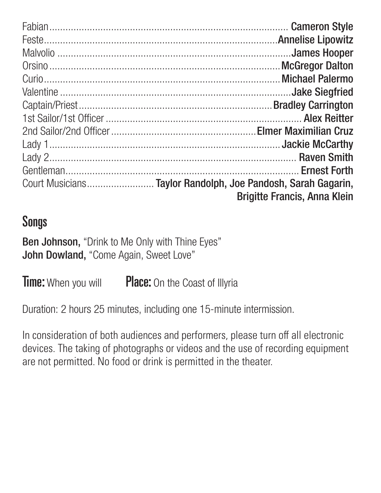| Court Musicians Taylor Randolph, Joe Pandosh, Sarah Gagarin, |
|--------------------------------------------------------------|
| <b>Brigitte Francis, Anna Klein</b>                          |

#### Songs

Ben Johnson, "Drink to Me Only with Thine Eyes" John Dowland, "Come Again, Sweet Love"

**Time:** When you will **Place:** On the Coast of Illyria

Duration: 2 hours 25 minutes, including one 15-minute intermission.

In consideration of both audiences and performers, please turn off all electronic devices. The taking of photographs or videos and the use of recording equipment are not permitted. No food or drink is permitted in the theater.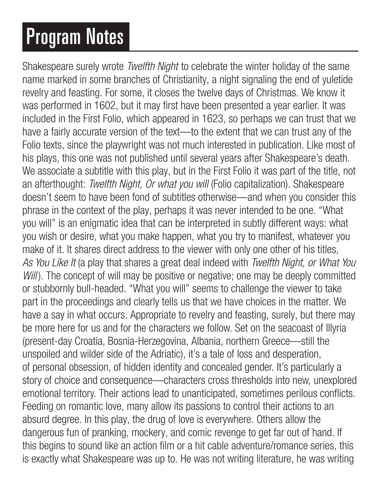## Program Notes

Shakespeare surely wrote *Twelfth Night* to celebrate the winter holiday of the same name marked in some branches of Christianity, a night signaling the end of yuletide revelry and feasting. For some, it closes the twelve days of Christmas. We know it was performed in 1602, but it may first have been presented a year earlier. It was included in the First Folio, which appeared in 1623, so perhaps we can trust that we have a fairly accurate version of the text—to the extent that we can trust any of the Folio texts, since the playwright was not much interested in publication. Like most of his plays, this one was not published until several years after Shakespeare's death. We associate a subtitle with this play, but in the First Folio it was part of the title, not an afterthought: *Twelfth Night, Or what you will* (Folio capitalization). Shakespeare doesn't seem to have been fond of subtitles otherwise—and when you consider this phrase in the context of the play, perhaps it was never intended to be one. "What you will" is an enigmatic idea that can be interpreted in subtly different ways: what you wish or desire, what you make happen, what you try to manifest, whatever you make of it. It shares direct address to the viewer with only one other of his titles, *As You Like It* (a play that shares a great deal indeed with *Twelfth Night, or What You Will*). The concept of will may be positive or negative; one may be deeply committed or stubbornly bull-headed. "What you will" seems to challenge the viewer to take part in the proceedings and clearly tells us that we have choices in the matter. We have a say in what occurs. Appropriate to revelry and feasting, surely, but there may be more here for us and for the characters we follow. Set on the seacoast of Illyria (present-day Croatia, Bosnia-Herzegovina, Albania, northern Greece—still the unspoiled and wilder side of the Adriatic), it's a tale of loss and desperation, of personal obsession, of hidden identity and concealed gender. It's particularly a story of choice and consequence—characters cross thresholds into new, unexplored emotional territory. Their actions lead to unanticipated, sometimes perilous conflicts. Feeding on romantic love, many allow its passions to control their actions to an absurd degree. In this play, the drug of love is everywhere. Others allow the dangerous fun of pranking, mockery, and comic revenge to get far out of hand. If this begins to sound like an action film or a hit cable adventure/romance series, this is exactly what Shakespeare was up to. He was not writing literature, he was writing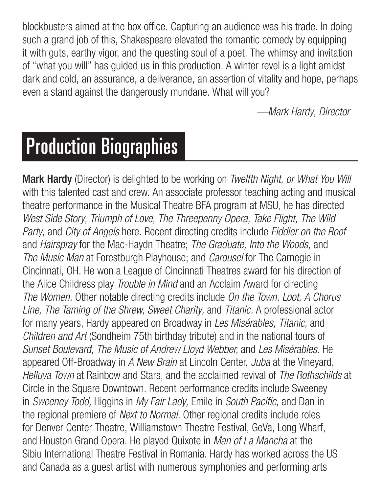blockbusters aimed at the box office. Capturing an audience was his trade. In doing such a grand job of this, Shakespeare elevated the romantic comedy by equipping it with guts, earthy vigor, and the questing soul of a poet. The whimsy and invitation of "what you will" has guided us in this production. A winter revel is a light amidst dark and cold, an assurance, a deliverance, an assertion of vitality and hope, perhaps even a stand against the dangerously mundane. What will you?

 *—Mark Hardy, Director*

## Production Biographies

Mark Hardy (Director) is delighted to be working on *Twelfth Night, or What You Will* with this talented cast and crew. An associate professor teaching acting and musical theatre performance in the Musical Theatre BFA program at MSU, he has directed *West Side Story, Triumph of Love, The Threepenny Opera, Take Flight, The Wild Party,* and *City of Angels* here. Recent directing credits include *Fiddler on the Roof*  and *Hairspray* for the Mac-Haydn Theatre; *The Graduate, Into the Woods,* and *The Music Man* at Forestburgh Playhouse; and *Carousel* for The Carnegie in Cincinnati, OH. He won a League of Cincinnati Theatres award for his direction of the Alice Childress play *Trouble in Mind* and an Acclaim Award for directing *The Women.* Other notable directing credits include *On the Town, Loot, A Chorus Line, The Taming of the Shrew, Sweet Charity,* and *Titanic.* A professional actor for many years, Hardy appeared on Broadway in *Les Misérables, Titanic,* and *Children and Art* (Sondheim 75th birthday tribute) and in the national tours of *Sunset Boulevard, The Music of Andrew Lloyd Webber,* and *Les Misérables.* He appeared Off-Broadway in *A New Brain* at Lincoln Center, *Juba* at the Vineyard, *Helluva Town* at Rainbow and Stars, and the acclaimed revival of *The Rothschilds* at Circle in the Square Downtown. Recent performance credits include Sweeney in *Sweeney Todd,* Higgins in *My Fair Lady,* Emile in South Pacific, and Dan in the regional premiere of *Next to Normal.* Other regional credits include roles for Denver Center Theatre, Williamstown Theatre Festival, GeVa, Long Wharf, and Houston Grand Opera. He played Quixote in *Man of La Mancha* at the Sibiu International Theatre Festival in Romania. Hardy has worked across the US and Canada as a guest artist with numerous symphonies and performing arts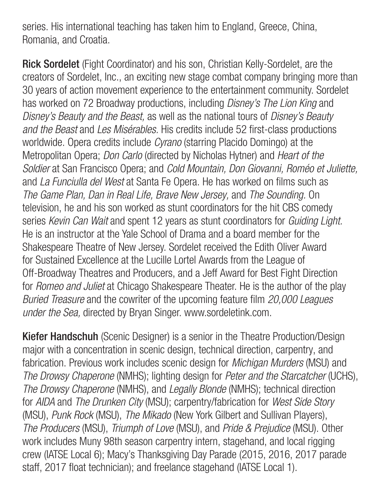series. His international teaching has taken him to England, Greece, China, Romania, and Croatia.

Rick Sordelet (Fight Coordinator) and his son, Christian Kelly-Sordelet, are the creators of Sordelet, Inc., an exciting new stage combat company bringing more than 30 years of action movement experience to the entertainment community. Sordelet has worked on 72 Broadway productions, including *Disney's The Lion King* and *Disney's Beauty and the Beast,* as well as the national tours of *Disney's Beauty and the Beast* and *Les Misérables.* His credits include 52 first-class productions worldwide. Opera credits include *Cyrano* (starring Placido Domingo) at the Metropolitan Opera; *Don Carlo* (directed by Nicholas Hytner) and *Heart of the Soldier* at San Francisco Opera; and *Cold Mountain, Don Giovanni, Roméo et Juliette,*  and *La Funciulla del West* at Santa Fe Opera. He has worked on films such as *The Game Plan, Dan in Real Life, Brave New Jersey,* and *The Sounding.* On television, he and his son worked as stunt coordinators for the hit CBS comedy series *Kevin Can Wait* and spent 12 years as stunt coordinators for *Guiding Light.* He is an instructor at the Yale School of Drama and a board member for the Shakespeare Theatre of New Jersey. Sordelet received the Edith Oliver Award for Sustained Excellence at the Lucille Lortel Awards from the League of Off-Broadway Theatres and Producers, and a Jeff Award for Best Fight Direction for *Romeo and Juliet* at Chicago Shakespeare Theater. He is the author of the play *Buried Treasure* and the cowriter of the upcoming feature film *20,000 Leagues under the Sea,* directed by Bryan Singer. www.sordeletink.com.

Kiefer Handschuh (Scenic Designer) is a senior in the Theatre Production/Design major with a concentration in scenic design, technical direction, carpentry, and fabrication. Previous work includes scenic design for *Michigan Murders* (MSU) and *The Drowsy Chaperone* (NMHS); lighting design for *Peter and the Starcatcher* (UCHS), *The Drowsy Chaperone* (NMHS), and *Legally Blonde* (NMHS); technical direction for *AIDA* and *The Drunken City* (MSU); carpentry/fabrication for *West Side Story*  (MSU), *Punk Rock* (MSU), *The Mikado* (New York Gilbert and Sullivan Players), *The Producers* (MSU), *Triumph of Love* (MSU), and *Pride & Prejudice* (MSU). Other work includes Muny 98th season carpentry intern, stagehand, and local rigging crew (IATSE Local 6); Macy's Thanksgiving Day Parade (2015, 2016, 2017 parade staff, 2017 float technician); and freelance stagehand (IATSE Local 1).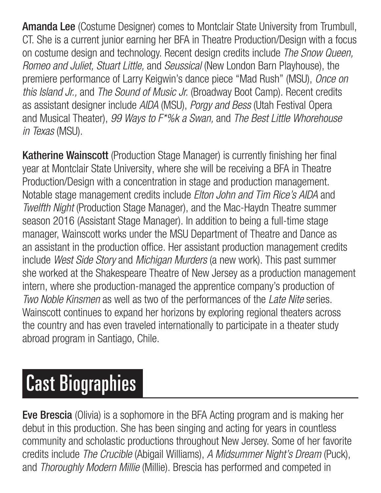Amanda Lee (Costume Designer) comes to Montclair State University from Trumbull, CT. She is a current junior earning her BFA in Theatre Production/Design with a focus on costume design and technology. Recent design credits include *The Snow Queen, Romeo and Juliet, Stuart Little,* and *Seussical* (New London Barn Playhouse), the premiere performance of Larry Keigwin's dance piece "Mad Rush" (MSU), *Once on this Island Jr.,* and *The Sound of Music Jr.* (Broadway Boot Camp). Recent credits as assistant designer include *AIDA* (MSU), *Porgy and Bess* (Utah Festival Opera and Musical Theater), *99 Ways to F\*%k a Swan,* and *The Best Little Whorehouse in Texas* (MSU).

Katherine Wainscott (Production Stage Manager) is currently finishing her final year at Montclair State University, where she will be receiving a BFA in Theatre Production/Design with a concentration in stage and production management. Notable stage management credits include *Elton John and Tim Rice's AIDA* and *Twelfth Night* (Production Stage Manager), and the Mac-Haydn Theatre summer season 2016 (Assistant Stage Manager). In addition to being a full-time stage manager, Wainscott works under the MSU Department of Theatre and Dance as an assistant in the production office. Her assistant production management credits include *West Side Story* and *Michigan Murders* (a new work). This past summer she worked at the Shakespeare Theatre of New Jersey as a production management intern, where she production-managed the apprentice company's production of *Two Noble Kinsmen* as well as two of the performances of the *Late Nite* series. Wainscott continues to expand her horizons by exploring regional theaters across the country and has even traveled internationally to participate in a theater study abroad program in Santiago, Chile.

## Cast Biographies

Eve Brescia (Olivia) is a sophomore in the BFA Acting program and is making her debut in this production. She has been singing and acting for years in countless community and scholastic productions throughout New Jersey. Some of her favorite credits include *The Crucible* (Abigail Williams), *A Midsummer Night's Dream* (Puck), and *Thoroughly Modern Millie* (Millie). Brescia has performed and competed in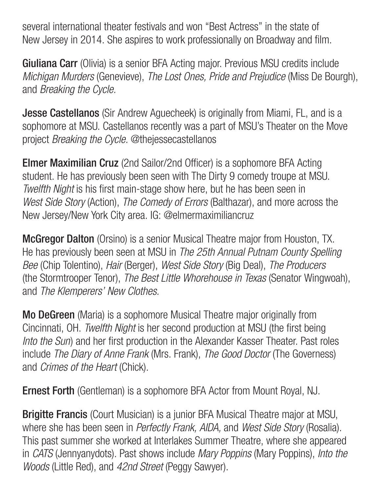several international theater festivals and won "Best Actress" in the state of New Jersey in 2014. She aspires to work professionally on Broadway and film.

**Giuliana Carr** (Olivia) is a senior BFA Acting major. Previous MSU credits include *Michigan Murders* (Genevieve), *The Lost Ones, Pride and Prejudice* (Miss De Bourgh), and *Breaking the Cycle.*

**Jesse Castellanos** (Sir Andrew Aguecheek) is originally from Miami, FL, and is a sophomore at MSU. Castellanos recently was a part of MSU's Theater on the Move project *Breaking the Cycle.* @thejessecastellanos

Elmer Maximilian Cruz (2nd Sailor/2nd Officer) is a sophomore BFA Acting student. He has previously been seen with The Dirty 9 comedy troupe at MSU. *Twelfth Night* is his first main-stage show here, but he has been seen in *West Side Story* (Action), *The Comedy of Errors* (Balthazar), and more across the New Jersey/New York City area. IG: @elmermaximiliancruz

**McGregor Dalton** (Orsino) is a senior Musical Theatre major from Houston, TX. He has previously been seen at MSU in *The 25th Annual Putnam County Spelling Bee* (Chip Tolentino), *Hair* (Berger), *West Side Story* (Big Deal), *The Producers* (the Stormtrooper Tenor), *The Best Little Whorehouse in Texas* (Senator Wingwoah), and *The Klemperers' New Clothes.*

Mo DeGreen (Maria) is a sophomore Musical Theatre major originally from Cincinnati, OH. *Twelfth Night* is her second production at MSU (the first being *Into the Sun*) and her first production in the Alexander Kasser Theater. Past roles include *The Diary of Anne Frank* (Mrs. Frank), *The Good Doctor* (The Governess) and *Crimes of the Heart* (Chick).

Ernest Forth (Gentleman) is a sophomore BFA Actor from Mount Royal, NJ.

Brigitte Francis (Court Musician) is a junior BFA Musical Theatre major at MSU, where she has been seen in *Perfectly Frank, AIDA,* and *West Side Story* (Rosalia). This past summer she worked at Interlakes Summer Theatre, where she appeared in *CATS* (Jennyanydots). Past shows include *Mary Poppins* (Mary Poppins), *Into the Woods* (Little Red), and *42nd Street* (Peggy Sawyer).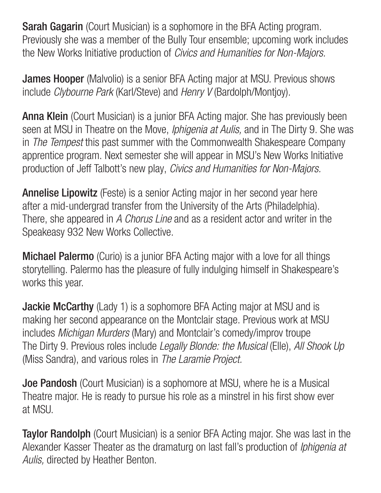**Sarah Gagarin** (Court Musician) is a sophomore in the BFA Acting program. Previously she was a member of the Bully Tour ensemble; upcoming work includes the New Works Initiative production of *Civics and Humanities for Non-Majors.*

**James Hooper** (Malvolio) is a senior BFA Acting major at MSU. Previous shows include *Clybourne Park* (Karl/Steve) and *Henry V* (Bardolph/Montjoy).

Anna Klein (Court Musician) is a junior BFA Acting major. She has previously been seen at MSU in Theatre on the Move, *Iphigenia at Aulis,* and in The Dirty 9. She was in *The Tempest* this past summer with the Commonwealth Shakespeare Company apprentice program. Next semester she will appear in MSU's New Works Initiative production of Jeff Talbott's new play, *Civics and Humanities for Non-Majors.*

Annelise Lipowitz (Feste) is a senior Acting major in her second year here after a mid-undergrad transfer from the University of the Arts (Philadelphia). There, she appeared in *A Chorus Line* and as a resident actor and writer in the Speakeasy 932 New Works Collective.

**Michael Palermo** (Curio) is a junior BFA Acting major with a love for all things storytelling. Palermo has the pleasure of fully indulging himself in Shakespeare's works this year.

**Jackie McCarthy** (Lady 1) is a sophomore BFA Acting major at MSU and is making her second appearance on the Montclair stage. Previous work at MSU includes *Michigan Murders* (Mary) and Montclair's comedy/improv troupe The Dirty 9. Previous roles include *Legally Blonde: the Musical* (Elle), *All Shook Up*  (Miss Sandra), and various roles in *The Laramie Project.*

**Joe Pandosh** (Court Musician) is a sophomore at MSU, where he is a Musical Theatre major. He is ready to pursue his role as a minstrel in his first show ever at MSU.

**Taylor Randolph** (Court Musician) is a senior BFA Acting major. She was last in the Alexander Kasser Theater as the dramaturg on last fall's production of *Iphigenia at Aulis,* directed by Heather Benton.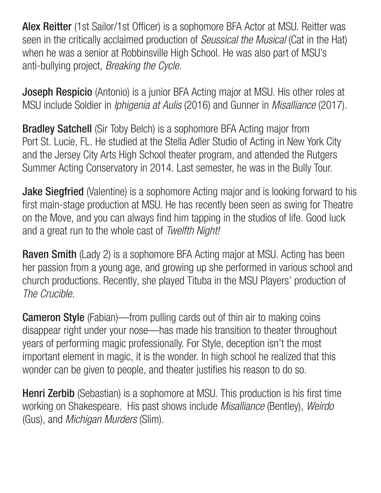Alex Reitter (1st Sailor/1st Officer) is a sophomore BFA Actor at MSU. Reitter was seen in the critically acclaimed production of *Seussical the Musical* (Cat in the Hat) when he was a senior at Robbinsville High School. He was also part of MSU's anti-bullying project, *Breaking the Cycle.*

**Joseph Respicio** (Antonio) is a junior BFA Acting major at MSU. His other roles at MSU include Soldier in *Iphigenia at Aulis* (2016) and Gunner in *Misalliance* (2017).

**Bradley Satchell** (Sir Toby Belch) is a sophomore BFA Acting major from Port St. Lucie, FL. He studied at the Stella Adler Studio of Acting in New York City and the Jersey City Arts High School theater program, and attended the Rutgers Summer Acting Conservatory in 2014. Last semester, he was in the Bully Tour.

Jake Siegfried (Valentine) is a sophomore Acting major and is looking forward to his first main-stage production at MSU. He has recently been seen as swing for Theatre on the Move, and you can always find him tapping in the studios of life. Good luck and a great run to the whole cast of *Twelfth Night!*

**Raven Smith** (Lady 2) is a sophomore BFA Acting major at MSU. Acting has been her passion from a young age, and growing up she performed in various school and church productions. Recently, she played Tituba in the MSU Players' production of *The Crucible.*

**Cameron Style** (Fabian)—from pulling cards out of thin air to making coins disappear right under your nose—has made his transition to theater throughout years of performing magic professionally. For Style, deception isn't the most important element in magic, it is the wonder. In high school he realized that this wonder can be given to people, and theater justifies his reason to do so.

**Henri Zerbib** (Sebastian) is a sophomore at MSU. This production is his first time working on Shakespeare. His past shows include *Misalliance* (Bentley), *Weirdo*  (Gus), and *Michigan Murders* (Slim).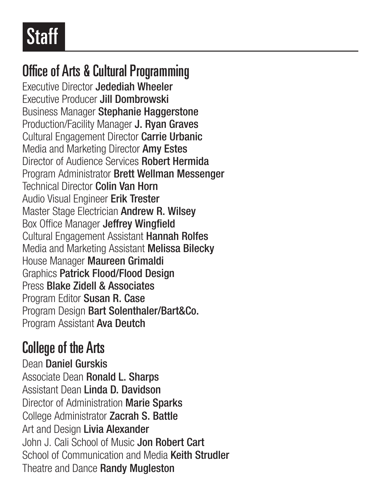### Office of Arts & Cultural Programming

Executive Director Jedediah Wheeler Executive Producer Jill Dombrowski Business Manager Stephanie Haggerstone Production/Facility Manager J. Ryan Graves Cultural Engagement Director Carrie Urbanic Media and Marketing Director Amy Estes Director of Audience Services Robert Hermida Program Administrator Brett Wellman Messenger Technical Director Colin Van Horn Audio Visual Engineer Erik Trester Master Stage Electrician Andrew R. Wilsey Box Office Manager Jeffrey Wingfield Cultural Engagement Assistant Hannah Rolfes Media and Marketing Assistant Melissa Bilecky House Manager Maureen Grimaldi Graphics Patrick Flood/Flood Design Press Blake Zidell & Associates Program Editor Susan R. Case Program Design Bart Solenthaler/Bart&Co. Program Assistant Ava Deutch

### College of the Arts

Dean Daniel Gurskis Associate Dean Ronald L. Sharps Assistant Dean Linda D. Davidson Director of Administration **Marie Sparks** College Administrator Zacrah S. Battle Art and Design Livia Alexander John J. Cali School of Music Jon Robert Cart School of Communication and Media Keith Strudler Theatre and Dance Randy Mugleston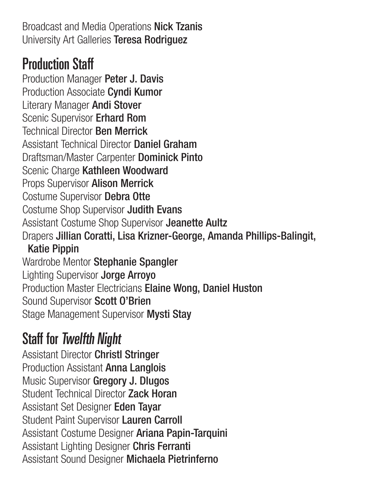Broadcast and Media Operations Nick Tzanis University Art Galleries Teresa Rodriguez

#### Production Staff

Production Manager Peter J. Davis Production Associate Cyndi Kumor Literary Manager Andi Stover Scenic Supervisor Erhard Rom Technical Director Ben Merrick Assistant Technical Director Daniel Graham Draftsman/Master Carpenter Dominick Pinto Scenic Charge Kathleen Woodward Props Supervisor Alison Merrick Costume Supervisor Debra Otte Costume Shop Supervisor Judith Evans Assistant Costume Shop Supervisor Jeanette Aultz Drapers Jillian Coratti, Lisa Krizner-George, Amanda Phillips-Balingit, Katie Pippin Wardrobe Mentor Stephanie Spangler Lighting Supervisor Jorge Arroyo Production Master Electricians Elaine Wong, Daniel Huston Sound Supervisor Scott O'Brien Stage Management Supervisor Mysti Stay

### Staff for Twelfth Night

Assistant Director Christl Stringer Production Assistant Anna Langlois Music Supervisor Gregory J. Dlugos Student Technical Director Zack Horan Assistant Set Designer Eden Tayar Student Paint Supervisor Lauren Carroll Assistant Costume Designer Ariana Papin-Tarquini Assistant Lighting Designer Chris Ferranti Assistant Sound Designer Michaela Pietrinferno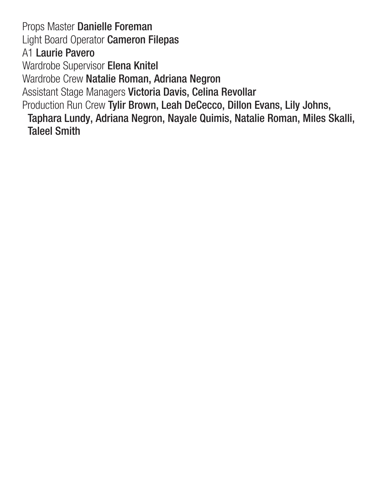Props Master Danielle Foreman Light Board Operator Cameron Filepas A1 Laurie Pavero Wardrobe Supervisor Elena Knitel Wardrobe Crew Natalie Roman, Adriana Negron Assistant Stage Managers Victoria Davis, Celina Revollar Production Run Crew Tylir Brown, Leah DeCecco, Dillon Evans, Lily Johns, Taphara Lundy, Adriana Negron, Nayale Quimis, Natalie Roman, Miles Skalli, Taleel Smith